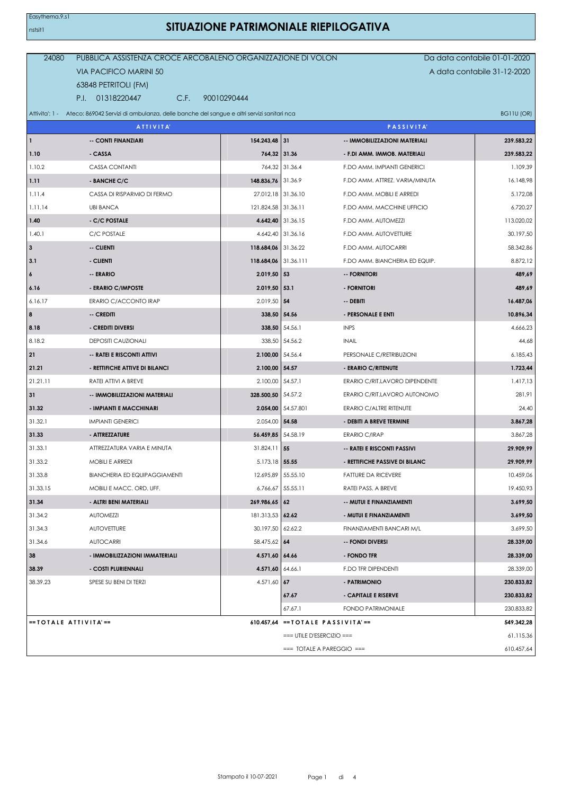## **SITUAZIONE PATRIMONIALE RIEPILOGATIVA**

| 24080                         | PUBBLICA ASSISTENZA CROCE ARCOBALENO ORGANIZZAZIONE DI VOLON                                            |                      |                                                    |                                | Da data contabile 01-01-2020 |
|-------------------------------|---------------------------------------------------------------------------------------------------------|----------------------|----------------------------------------------------|--------------------------------|------------------------------|
| <b>VIA PACIFICO MARINI 50</b> |                                                                                                         |                      |                                                    | A data contabile 31-12-2020    |                              |
|                               | 63848 PETRITOLI (FM)                                                                                    |                      |                                                    |                                |                              |
|                               | P.I. 01318220447<br>C.F.                                                                                | 90010290444          |                                                    |                                |                              |
|                               | Attivita': 1 - Ateco: 869042 Servizi di ambulanza, delle banche del sangue e altri servizi sanitari nca |                      |                                                    |                                | BG11U (OR)                   |
|                               | <b>ATTIVITA'</b>                                                                                        |                      |                                                    | <b>PASSIVITA</b>               |                              |
| $\vert$ 1                     | -- CONTI FINANZIARI                                                                                     | 154.243,48 31        |                                                    | -- IMMOBILIZZAZIONI MATERIALI  | 239.583,22                   |
| 1.10                          | - CASSA                                                                                                 | 764,32 31.36         |                                                    | - F.DI AMM. IMMOB. MATERIALI   | 239.583,22                   |
| 1.10.2                        | CASSA CONTANTI                                                                                          |                      | 764,32 31.36.4                                     | F.DO AMM. IMPIANTI GENERICI    | 1.109,39                     |
| 1.11                          | - BANCHE C/C                                                                                            | 148.836,76 31.36.9   |                                                    | F.DO AMM. ATTREZ. VARIA/MINUTA | 16.148,98                    |
| 1.11.4                        | CASSA DI RISPARMIO DI FERMO                                                                             | 27.012,18 31.36.10   |                                                    | F.DO AMM. MOBILI E ARREDI      | 5.172,08                     |
| 1.11.14                       | <b>UBI BANCA</b>                                                                                        | 121.824,58 31.36.11  |                                                    | F.DO AMM. MACCHINE UFFICIO     | 6.720,27                     |
| 1.40                          | - C/C POSTALE                                                                                           |                      | 4.642,40 31.36.15                                  | F.DO AMM. AUTOMEZZI            | 113.020,02                   |
| 1.40.1                        | C/C POSTALE                                                                                             |                      | 4.642,40 31.36.16                                  | F.DO AMM, AUTOVETTURE          | 30.197,50                    |
| $\mathbf{3}$                  | -- CLIENTI                                                                                              | 118.684,06 31.36.22  |                                                    | F.DO AMM. AUTOCARRI            | 58.342,86                    |
| 3.1                           | - CLIENTI                                                                                               | 118.684,06 31.36.111 |                                                    | F.DO AMM. BIANCHERIA ED EQUIP. | 8.872,12                     |
| 6                             | -- ERARIO                                                                                               | $2.019,50$ 53        |                                                    | -- FORNITORI                   | 489,69                       |
| 6.16                          | - ERARIO C/IMPOSTE                                                                                      | $2.019,50$ 53.1      |                                                    | - FORNITORI                    | 489,69                       |
| 6.16.17                       | ERARIO C/ACCONTO IRAP                                                                                   | 2.019,50 54          |                                                    | -- DEBITI                      | 16.487,06                    |
| 8                             | -- CREDITI                                                                                              | 338,50 54.56         |                                                    | - PERSONALE E ENTI             | 10.896,34                    |
| 8.18                          | - CREDITI DIVERSI                                                                                       |                      | 338,50 54.56.1                                     | <b>INPS</b>                    | 4.666,23                     |
| 8.18.2                        | <b>DEPOSITI CAUZIONALI</b>                                                                              |                      | 338,50 54.56.2                                     | <b>INAIL</b>                   | 44,68                        |
| 21                            | -- RATEI E RISCONTI ATTIVI                                                                              | 2.100,00 54.56.4     |                                                    | PERSONALE C/RETRIBUZIONI       | 6.185,43                     |
| 21.21                         | - RETTIFICHE ATTIVE DI BILANCI                                                                          | 2.100,00 54.57       |                                                    | - ERARIO C/RITENUTE            | 1.723,44                     |
| 21.21.11                      | RATEI ATTIVI A BREVE                                                                                    | 2.100,00 54.57.1     |                                                    | ERARIO C/RIT.LAVORO DIPENDENTE | 1.417,13                     |
| 31                            | -- IMMOBILIZZAZIONI MATERIALI                                                                           | 328.500,50 54.57.2   |                                                    | ERARIO C/RIT.LAVORO AUTONOMO   | 281,91                       |
| 31.32                         | - IMPIANTI E MACCHINARI                                                                                 |                      | 2.054,00 54.57.801                                 | ERARIO C/ALTRE RITENUTE        | 24,40                        |
| 31.32.1                       | <b>IMPIANTI GENERICI</b>                                                                                | 2.054,00 54.58       |                                                    | - DEBITI A BREVE TERMINE       | 3.867,28                     |
| 31.33                         | - ATTREZZATURE                                                                                          | 56.459,85 54.58.19   |                                                    | <b>ERARIO C/IRAP</b>           | 3.867,28                     |
| 31.33.1                       | ATTREZZATURA VARIA E MINUTA                                                                             | $31.824, 11$ 55      |                                                    | -- RATEI E RISCONTI PASSIVI    | 29.909,99                    |
| 31.33.2                       | MOBILI E ARREDI                                                                                         | 5.173,18 55.55       |                                                    | - RETTIFICHE PASSIVE DI BILANC | 29.909,99                    |
| 31.33.8                       | <b>BIANCHERIA ED EQUIPAGGIAMENTI</b>                                                                    |                      | 12.695,89 55.55.10                                 | <b>FATTURE DA RICEVERE</b>     | 10.459,06                    |
| 31.33.15                      | MOBILI E MACC. ORD. UFF.                                                                                |                      | 6.766,67 55.55.11                                  | RATEI PASS. A BREVE            | 19.450,93                    |
| 31.34                         | - ALTRI BENI MATERIALI                                                                                  | 269.986,65 62        |                                                    | -- MUTUI E FINANZIAMENTI       | 3.699,50                     |
| 31.34.2                       | <b>AUTOMEZZI</b>                                                                                        | 181.313,53 62.62     |                                                    | - MUTUI E FINANZIAMENTI        | 3.699,50                     |
| 31.34.3                       | <b>AUTOVETTURE</b>                                                                                      | 30.197,50 62.62.2    |                                                    | FINANZIAMENTI BANCARI M/L      | 3.699,50                     |
| 31.34.6                       | <b>AUTOCARRI</b>                                                                                        | 58.475,62 64         |                                                    | -- FONDI DIVERSI               | 28.339,00                    |
| 38                            | - IMMOBILIZZAZIONI IMMATERIALI                                                                          | 4.571,60 64.66       |                                                    | - FONDO TFR                    | 28.339,00                    |
| 38.39                         | - COSTI PLURIENNALI                                                                                     | 4.571,60 64.66.1     |                                                    | F.DO TFR DIPENDENTI            | 28.339,00                    |
| 38.39.23                      | SPESE SU BENI DI TERZI                                                                                  | 4.571,60 67          |                                                    | - PATRIMONIO                   | 230.833,82                   |
|                               |                                                                                                         |                      | 67.67                                              | - CAPITALE E RISERVE           | 230.833,82                   |
|                               |                                                                                                         |                      | 67.67.1                                            | FONDO PATRIMONIALE             | 230.833,82                   |
|                               | $==$ TOTALE ATTIVITA'==                                                                                 |                      | $610.457,64$ == TOTALE PASSIVITA' ==<br>549.342,28 |                                |                              |
|                               |                                                                                                         |                      | $==$ UTILE D'ESERCIZIO $==$                        |                                | 61.115,36                    |
|                               |                                                                                                         |                      | $==$ TOTALE A PAREGGIO $==$                        |                                | 610.457,64                   |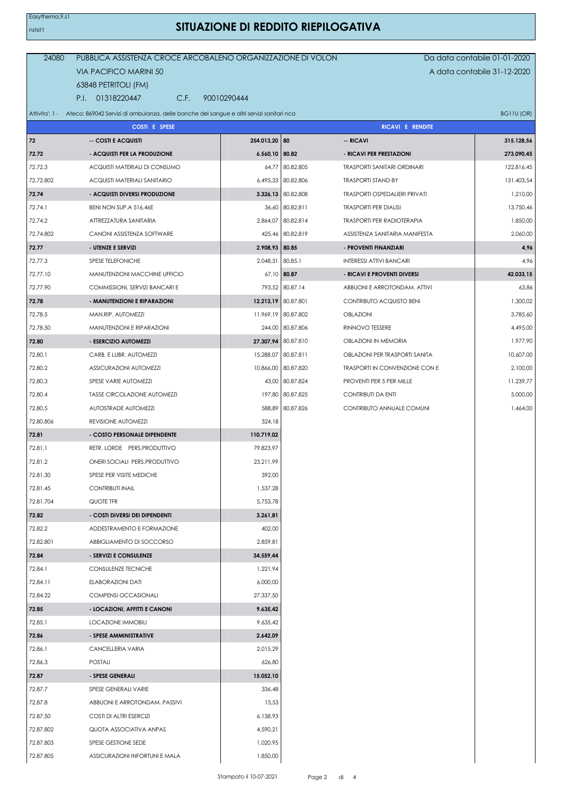## **SITUAZIONE DI REDDITO RIEPILOGATIVA**

| 24080     | PUBBLICA ASSISTENZA CROCE ARCOBALENO ORGANIZZAZIONE DI VOLON                                            |                  |                     |                                       | Da data contabile 01-01-2020 |  |
|-----------|---------------------------------------------------------------------------------------------------------|------------------|---------------------|---------------------------------------|------------------------------|--|
|           | A data contabile 31-12-2020<br>VIA PACIFICO MARINI 50                                                   |                  |                     |                                       |                              |  |
|           | 63848 PETRITOLI (FM)                                                                                    |                  |                     |                                       |                              |  |
|           | P.I. 01318220447<br>C.F.                                                                                | 90010290444      |                     |                                       |                              |  |
|           | Attivita': 1 - Ateco: 869042 Servizi di ambulanza, delle banche del sangue e altri servizi sanitari nca |                  |                     |                                       | BG11U (OR)                   |  |
|           | <b>COSTI E SPESE</b>                                                                                    |                  |                     | RICAVI E RENDITE                      |                              |  |
| 72        | -- COSTI E ACQUISTI                                                                                     | 254.013,20 80    |                     | -- RICAVI                             | 315.128,56                   |  |
| 72.72     | - ACQUISTI PER LA PRODUZIONE                                                                            | $6.560,10$ 80.82 |                     | - RICAVI PER PRESTAZIONI              | 273.090,45                   |  |
| 72.72.3   | ACQUISTI MATERIALI DI CONSUMO                                                                           |                  | 64,77 80.82.805     | <b>TRASPORTI SANITARI ORDINARI</b>    | 122.816,45                   |  |
| 72.72.802 | ACQUISTI MATERIALI SANITARIO                                                                            |                  | 6.495,33 80.82.806  | <b>TRASPORTI STAND-BY</b>             | 131.403,54                   |  |
| 72.74     | - ACQUISTI DIVERSI PRODUZIONE                                                                           |                  | 3.326,13 80.82.808  | <b>TRASPORTI OSPEDALIERI PRIVATI</b>  | 1.210,00                     |  |
| 72.74.1   | BENI NON SUP.A 516,46E                                                                                  |                  | 36,60 80.82.811     | <b>TRASPORTI PER DIALISI</b>          | 13.750,46                    |  |
| 72.74.2   | ATTREZZATURA SANITARIA                                                                                  |                  | 2.864,07 80.82.814  | <b>TRASPORTI PER RADIOTERAPIA</b>     | 1.850,00                     |  |
| 72.74.802 | CANONI ASSISTENZA SOFTWARE                                                                              |                  | 425,46 80.82.819    | ASSISTENZA SANITARIA MANIFESTA        | 2.060,00                     |  |
| 72.77     | - UTENZE E SERVIZI                                                                                      | 2.908,93 80.85   |                     | - PROVENTI FINANZIARI                 | 4,96                         |  |
| 72.77.3   | SPESE TELEFONICHE                                                                                       | 2.048,31 80.85.1 |                     | <b>INTERESSI ATTIVI BANCARI</b>       | 4,96                         |  |
| 72.77.10  | MANUTENZIONI MACCHINE UFFICIO                                                                           |                  | 67,10 80.87         | - RICAVI E PROVENTI DIVERSI           | 42.033,15                    |  |
| 72.77.90  | COMMISSIONI, SERVIZI BANCARI E                                                                          |                  | 793,52 80.87.14     | ABBUONI E ARROTONDAM. ATTIVI          | 63,86                        |  |
| 72.78     | - MANUTENZIONI E RIPARAZIONI                                                                            |                  | 12.213,19 80.87.801 | CONTRIBUTO ACQUISTO BENI              | 1.300,02                     |  |
| 72.78.5   | MAN.RIP. AUTOMEZZI                                                                                      |                  | 11.969,19 80.87.802 | <b>OBLAZIONI</b>                      | 3.785,60                     |  |
| 72.78.50  | MANUTENZIONI E RIPARAZIONI                                                                              |                  | 244,00 80.87.806    | RINNOVO TESSERE                       | 4.495,00                     |  |
| 72.80     | - ESERCIZIO AUTOMEZZI                                                                                   |                  | 27.307,94 80.87.810 | <b>OBLAZIONI IN MEMORIA</b>           | 1.977,90                     |  |
| 72.80.1   | CARB. E LUBR. AUTOMEZZI                                                                                 |                  | 15.288,07 80.87.811 | OBLAZIONI PER TRASPORTI SANITA        | 10.607,00                    |  |
| 72.80.2   | <b>ASSICURAZIONI AUTOMEZZI</b>                                                                          |                  | 10.866,00 80.87.820 | <b>TRASPORTI IN CONVENZIONE CON E</b> | 2.100,00                     |  |
| 72.80.3   | SPESE VARIE AUTOMEZZI                                                                                   |                  | 43,00 80.87.824     | PROVENTI PER 5 PER MILLE              | 11.239,77                    |  |
| 72.80.4   | <b>TASSE CIRCOLAZIONE AUTOMEZZI</b>                                                                     |                  | 197,80 80.87.825    | CONTRIBUTI DA ENTI                    | 5.000,00                     |  |
| 72.80.5   | <b>AUTOSTRADE AUTOMEZZI</b>                                                                             |                  | 588,89 80.87.826    | CONTRIBUTO ANNUALE COMUNI             | 1.464,00                     |  |
| 72.80.806 | REVISIONE AUTOMEZZI                                                                                     | 324,18           |                     |                                       |                              |  |
| 72.81     | - COSTO PERSONALE DIPENDENTE                                                                            | 110.719,02       |                     |                                       |                              |  |
| 72.81.1   | RETR. LORDE PERS.PRODUTTIVO                                                                             | 79.823,97        |                     |                                       |                              |  |
| 72.81.2   | ONERI SOCIALI PERS.PRODUTTIVO                                                                           | 23.211,99        |                     |                                       |                              |  |
| 72.81.30  | SPESE PER VISITE MEDICHE                                                                                | 392,00           |                     |                                       |                              |  |
| 72.81.45  | <b>CONTRIBUTI INAIL</b>                                                                                 | 1.537,28         |                     |                                       |                              |  |
| 72.81.704 | QUOTE TFR                                                                                               | 5.753,78         |                     |                                       |                              |  |
| 72.82     | - COSTI DIVERSI DEI DIPENDENTI                                                                          | 3.261,81         |                     |                                       |                              |  |
| 72.82.2   | ADDESTRAMENTO E FORMAZIONE                                                                              | 402,00           |                     |                                       |                              |  |
| 72.82.801 | ABBIGLIAMENTO DI SOCCORSO                                                                               | 2.859,81         |                     |                                       |                              |  |
| 72.84     | - SERVIZI E CONSULENZE                                                                                  | 34.559,44        |                     |                                       |                              |  |
| 72.84.1   | <b>CONSULENZE TECNICHE</b>                                                                              | 1.221,94         |                     |                                       |                              |  |
| 72.84.11  | ELABORAZIONI DATI                                                                                       | 6.000,00         |                     |                                       |                              |  |
| 72.84.22  | COMPENSI OCCASIONALI                                                                                    | 27.337,50        |                     |                                       |                              |  |
| 72.85     | - LOCAZIONI, AFFITTI E CANONI                                                                           | 9.635,42         |                     |                                       |                              |  |
| 72.85.1   | <b>LOCAZIONE IMMOBILI</b>                                                                               | 9.635,42         |                     |                                       |                              |  |
| 72.86     | - SPESE AMMINISTRATIVE                                                                                  | 2.642,09         |                     |                                       |                              |  |
| 72.86.1   | CANCELLERIA VARIA                                                                                       | 2.015,29         |                     |                                       |                              |  |
| 72.86.3   | <b>POSTALI</b>                                                                                          | 626,80           |                     |                                       |                              |  |
| 72.87     | - SPESE GENERALI                                                                                        | 15.052,10        |                     |                                       |                              |  |
| 72.87.7   | SPESE GENERALI VARIE                                                                                    | 336,48           |                     |                                       |                              |  |
| 72.87.8   | ABBUONI E ARROTONDAM. PASSIVI                                                                           | 15,53            |                     |                                       |                              |  |
| 72.87.50  | COSTI DI ALTRI ESERCIZI                                                                                 | 6.138,93         |                     |                                       |                              |  |
| 72.87.802 | QUOTA ASSOCIATIVA ANPAS                                                                                 | 4.590,21         |                     |                                       |                              |  |
| 72.87.803 | SPESE GESTIONE SEDE                                                                                     | 1.020,95         |                     |                                       |                              |  |
| 72.87.805 | ASSICURAZIONI INFORTUNI E MALA                                                                          | 1.850,00         |                     |                                       |                              |  |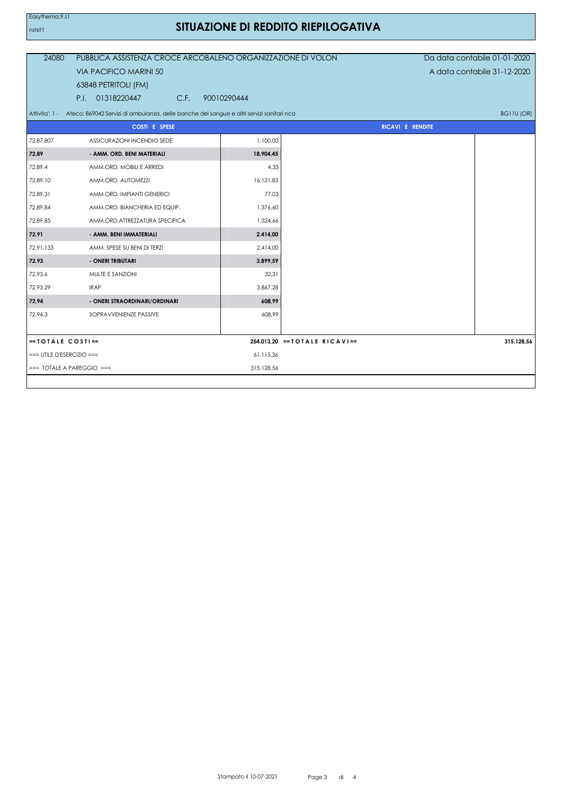## SITUAZIONE DI REDDITO RIEPILOGATIVA

| 24080                       | PUBBLICA ASSISTENZA CROCE ARCOBALENO ORGANIZZAZIONE DI VOLON                                           |             |                                  | Da data contabile 01-01-2020 |  |  |
|-----------------------------|--------------------------------------------------------------------------------------------------------|-------------|----------------------------------|------------------------------|--|--|
|                             | <b>VIA PACIFICO MARINI 50</b>                                                                          |             |                                  | A data contabile 31-12-2020  |  |  |
|                             | 63848 PETRITOLI (FM)                                                                                   |             |                                  |                              |  |  |
|                             | 01318220447<br>C.F.<br>P.I.                                                                            | 90010290444 |                                  |                              |  |  |
| Attivita': 1 -              | Ateco: 869042 Servizi di ambulanza, delle banche del sangue e altri servizi sanitari nca<br>BG11U (OR) |             |                                  |                              |  |  |
|                             | <b>COSTI E SPESE</b>                                                                                   |             |                                  | RICAVI E RENDITE             |  |  |
| 72.87.807                   | ASSICURAZIONI INCENDIO SEDE                                                                            | 1.100,00    |                                  |                              |  |  |
| 72.89                       | - AMM. ORD. BENI MATERIALI                                                                             | 18.904,45   |                                  |                              |  |  |
| 72.89.4                     | AMM.ORD. MOBILI E ARREDI                                                                               | 4,33        |                                  |                              |  |  |
| 72.89.10                    | AMM.ORD. AUTOMEZZI                                                                                     | 16.121,83   |                                  |                              |  |  |
| 72.89.31                    | AMM.ORD. IMPIANTI GENERICI                                                                             | 77,03       |                                  |                              |  |  |
| 72.89.84                    | AMM.ORD. BIANCHERIA ED EQUIP.                                                                          | 1.376,60    |                                  |                              |  |  |
| 72.89.85                    | AMM.ORD.ATTREZZATURA SPECIFICA                                                                         | 1.324,66    |                                  |                              |  |  |
| 72.91                       | - AMM. BENI IMMATERIALI                                                                                | 2.414,00    |                                  |                              |  |  |
| 72.91.133                   | AMM. SPESE SU BENI DI TERZI                                                                            | 2.414,00    |                                  |                              |  |  |
| 72.93                       | - ONERI TRIBUTARI                                                                                      | 3.899,59    |                                  |                              |  |  |
| 72.93.6                     | MULTE E SANZIONI                                                                                       | 32,31       |                                  |                              |  |  |
| 72.93.29                    | <b>IRAP</b>                                                                                            | 3.867,28    |                                  |                              |  |  |
| 72.94                       | - ONERI STRAORDINARI/ORDINARI                                                                          | 608,99      |                                  |                              |  |  |
| 72.94.3                     | SOPRAVVENIENZE PASSIVE                                                                                 | 608,99      |                                  |                              |  |  |
|                             |                                                                                                        |             |                                  |                              |  |  |
| $=$ TOTALE COSTI $=$        |                                                                                                        |             | 254.013,20 == $TOTALE RICAVI ==$ | 315.128,56                   |  |  |
| $==$ UTILE D'ESERCIZIO $==$ |                                                                                                        | 61.115,36   |                                  |                              |  |  |
| $==$ TOTALE A PAREGGIO $==$ |                                                                                                        | 315.128,56  |                                  |                              |  |  |
|                             |                                                                                                        |             |                                  |                              |  |  |